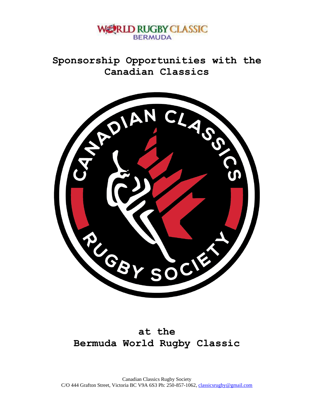

**Sponsorship Opportunities with the Canadian Classics**



## **at the Bermuda World Rugby Classic**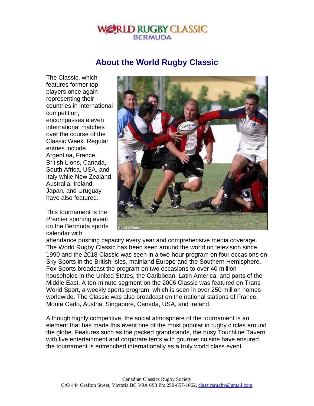## **ERLD RUGBY CLASSIC BERMUDA**

## **About the World Rugby Classic**

The Classic, which features former top players once again representing their countries in international competition, encompasses eleven international matches over the course of the Classic Week. Regular entries include Argentina, France, British Lions, Canada, South Africa, USA, and Italy while New Zealand, Australia, Ireland, Japan, and Uruguay have also featured.

This tournament is the Premier sporting event on the Bermuda sports calendar with



attendance pushing capacity every year and comprehensive media coverage. The World Rugby Classic has been seen around the world on television since 1990 and the 2018 Classic was seen in a two-hour program on four occasions on Sky Sports in the British Isles, mainland Europe and the Southern Hemisphere. Fox Sports broadcast the program on two occasions to over 40 million households in the United States, the Caribbean, Latin America, and parts of the Middle East. A ten-minute segment on the 2006 Classic was featured on Trans World Sport, a weekly sports program, which is seen in over 250 million homes worldwide. The Classic was also broadcast on the national stations of France, Monte Carlo, Austria, Singapore, Canada, USA, and Ireland.

Although highly competitive, the social atmosphere of the tournament is an element that has made this event one of the most popular in rugby circles around the globe. Features such as the packed grandstands, the busy Touchline Tavern with live entertainment and corporate tents with gourmet cuisine have ensured the tournament is entrenched internationally as a truly world class event.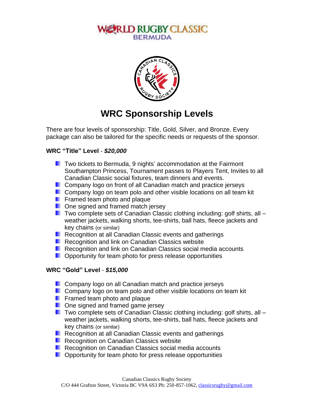### **LLD RUGBY CLASSIC BERMUDA**



# **WRC Sponsorship Levels**

There are four levels of sponsorship: Title, Gold, Silver, and Bronze. Every package can also be tailored for the specific needs or requests of the sponsor.

#### **WRC "Title" Level** - *\$20,000*

- **T** Two tickets to Bermuda, 9 nights' accommodation at the Fairmont Southampton Princess, Tournament passes to Players Tent, Invites to all Canadian Classic social fixtures, team dinners and events.
- **Company logo on front of all Canadian match and practice jerseys**
- **Company logo on team polo and other visible locations on all team kit**
- **Figure 1** Framed team photo and plaque
- **D** One signed and framed match jersey
- $\blacksquare$  Two complete sets of Canadian Classic clothing including: golf shirts, all weather jackets, walking shorts, tee-shirts, ball hats, fleece jackets and key chains (or similar)
- **Recognition at all Canadian Classic events and gatherings**
- **Recognition and link on Canadian Classics website**
- **Recognition and link on Canadian Classics social media accounts**
- **D** Opportunity for team photo for press release opportunities

#### **WRC "Gold" Level** - *\$15,000*

- **Company logo on all Canadian match and practice jerseys**
- **Company logo on team polo and other visible locations on team kit**
- **Figure 1** Framed team photo and plaque
- **D** One signed and framed game jersey
- **T** Two complete sets of Canadian Classic clothing including: golf shirts, all  $$ weather jackets, walking shorts, tee-shirts, ball hats, fleece jackets and key chains (or similar)
- **Recognition at all Canadian Classic events and gatherings**
- **Recognition on Canadian Classics website**
- **Recognition on Canadian Classics social media accounts**
- **D** Opportunity for team photo for press release opportunities